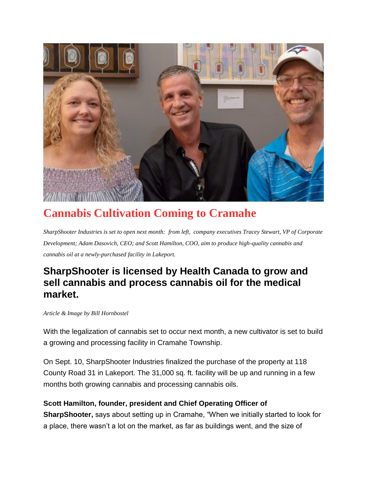

## **Cannabis Cultivation Coming to Cramahe**

*SharpShooter Industries is set to open next month: from left, company executives Tracey Stewart, VP of Corporate Development; Adam Dasovich, CEO; and Scott Hamilton, COO, aim to produce high-quality cannabis and cannabis oil at a newly-purchased facility in Lakeport.*

## **SharpShooter is licensed by Health Canada to grow and sell cannabis and process cannabis oil for the medical market.**

## *Article & Image by Bill Hornbostel*

With the legalization of cannabis set to occur next month, a new cultivator is set to build a growing and processing facility in Cramahe Township.

On Sept. 10, SharpShooter Industries finalized the purchase of the property at 118 County Road 31 in Lakeport. The 31,000 sq. ft. facility will be up and running in a few months both growing cannabis and processing cannabis oils.

## **Scott Hamilton, founder, president and Chief Operating Officer of**

**SharpShooter,** says about setting up in Cramahe, "When we initially started to look for a place, there wasn't a lot on the market, as far as buildings went, and the size of